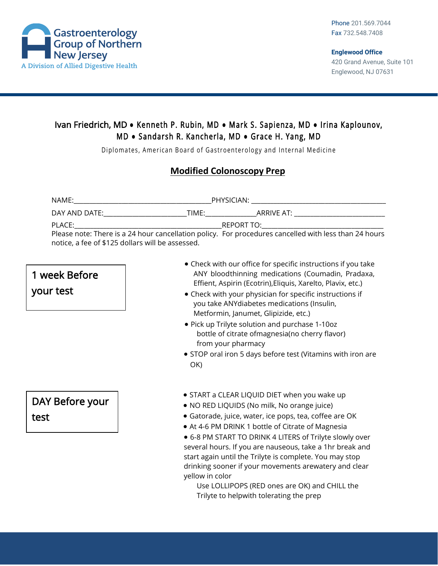

## Ivan Friedrich, MD **●** Kenneth P. Rubin, MD **●** Mark S. Sapienza, MD **●** Irina Kaplounov, M D **●** Sandarsh R. Kancherla, MD **●** Grace H. Yang, MD

Diplomates, American Board of Gastroenterology and Internal Medicine

### **Modified Colonoscopy Prep**

| NAME:                                                                                                          | PHYSICIAN: The contract of the contract of the contract of the contract of the contract of the contract of the                |
|----------------------------------------------------------------------------------------------------------------|-------------------------------------------------------------------------------------------------------------------------------|
| DAY AND DATE: THE STATE OF THE STATE OF THE STATE OF THE STATE OF THE STATE OF THE STATE OF THE STATE OF THE S | ARRIVE AT: ARRIVE AT AND A STRINGER AT A STRINGER AT A STRINGER AT A STRINGER AT A STRINGER AT A STRINGER AT A<br>TIME: TIME: |
| PLACE:                                                                                                         | REPORT TO: A PARTICULAR CONTROLLER CONTROLLER CONTROLLER CONTROLLER CONTROLLER CONTROLLER CONTROLLER CONTROLLER               |
|                                                                                                                | Please note: There is a 24 hour cancellation policy. For procedures cancelled with less than 24 hours                         |
| notice, a fee of \$125 dollars will be assessed.                                                               |                                                                                                                               |

# 1 week Before your test

DAY Before your test

- Check with our office for specific instructions if you take ANY bloodthinning medications (Coumadin, Pradaxa, Effient, Aspirin (Ecotrin),Eliquis, Xarelto, Plavix, etc.)
- Check with your physician for specific instructions if you take ANYdiabetes medications (Insulin, Metformin, Janumet, Glipizide, etc.)
- Pick up Trilyte solution and purchase 1-10oz bottle of citrate ofmagnesia(no cherry flavor) from your pharmacy
- STOP oral iron 5 days before test (Vitamins with iron are OK)
- START a CLEAR LIQUID DIET when you wake up
- NO RED LIQUIDS (No milk, No orange juice)
- Gatorade, juice, water, ice pops, tea, coffee are OK
- At 4-6 PM DRINK 1 bottle of Citrate of Magnesia
- 6-8 PM START TO DRINK 4 LITERS of Trilyte slowly over several hours. If you are nauseous, take a 1hr break and start again until the Trilyte is complete. You may stop drinking sooner if your movements arewatery and clear yellow in color

Use LOLLIPOPS (RED ones are OK) and CHILL the Trilyte to helpwith tolerating the prep